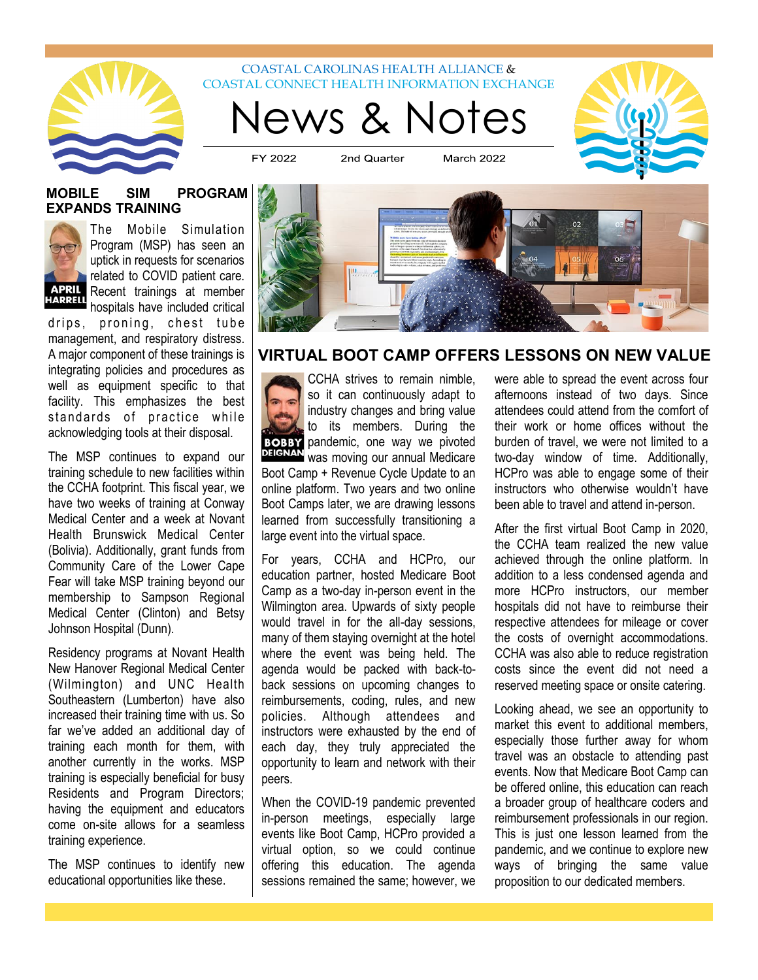

# News & Notes COASTAL CAROLINAS HEALTH ALLIANCE & COASTAL CONNECT HEALTH INFORMATION EXCHANGE

FY 2022 2nd Quarter **March 2022** 

#### **MOBILE SIM PROGRAM EXPANDS TRAINING**



The Mobile Simulation Program (MSP) has seen an uptick in requests for scenarios related to COVID patient care. Recent trainings at member hospitals have included critical

drips, proning, chest tube management, and respiratory distress. A major component of these trainings is integrating policies and procedures as well as equipment specific to that facility. This emphasizes the best standards of practice while acknowledging tools at their disposal.

The MSP continues to expand our training schedule to new facilities within the CCHA footprint. This fiscal year, we have two weeks of training at Conway Medical Center and a week at Novant Health Brunswick Medical Center (Bolivia). Additionally, grant funds from Community Care of the Lower Cape Fear will take MSP training beyond our membership to Sampson Regional Medical Center (Clinton) and Betsy Johnson Hospital (Dunn).

Residency programs at Novant Health New Hanover Regional Medical Center (Wilmington) and UNC Health Southeastern (Lumberton) have also increased their training time with us. So far we've added an additional day of training each month for them, with another currently in the works. MSP training is especially beneficial for busy Residents and Program Directors; having the equipment and educators come on-site allows for a seamless training experience.

The MSP continues to identify new educational opportunities like these.



# **VIRTUAL BOOT CAMP OFFERS LESSONS ON NEW VALUE**

CCHA strives to remain nimble, so it can continuously adapt to industry changes and bring value to its members. During the **BOBBY** pandemic, one way we pivoted **DEIGNAN** was moving our annual Medicare Boot Camp + Revenue Cycle Update to an online platform. Two years and two online Boot Camps later, we are drawing lessons learned from successfully transitioning a large event into the virtual space.

For years, CCHA and HCPro, our education partner, hosted Medicare Boot Camp as a two-day in-person event in the Wilmington area. Upwards of sixty people would travel in for the all-day sessions, many of them staying overnight at the hotel where the event was being held. The agenda would be packed with back-toback sessions on upcoming changes to reimbursements, coding, rules, and new policies. Although attendees and instructors were exhausted by the end of each day, they truly appreciated the opportunity to learn and network with their peers.

When the COVID-19 pandemic prevented in-person meetings, especially large events like Boot Camp, HCPro provided a virtual option, so we could continue offering this education. The agenda sessions remained the same; however, we were able to spread the event across four afternoons instead of two days. Since attendees could attend from the comfort of their work or home offices without the burden of travel, we were not limited to a two-day window of time. Additionally, HCPro was able to engage some of their instructors who otherwise wouldn't have been able to travel and attend in-person.

After the first virtual Boot Camp in 2020, the CCHA team realized the new value achieved through the online platform. In addition to a less condensed agenda and more HCPro instructors, our member hospitals did not have to reimburse their respective attendees for mileage or cover the costs of overnight accommodations. CCHA was also able to reduce registration costs since the event did not need a reserved meeting space or onsite catering.

Looking ahead, we see an opportunity to market this event to additional members, especially those further away for whom travel was an obstacle to attending past events. Now that Medicare Boot Camp can be offered online, this education can reach a broader group of healthcare coders and reimbursement professionals in our region. This is just one lesson learned from the pandemic, and we continue to explore new ways of bringing the same value proposition to our dedicated members.